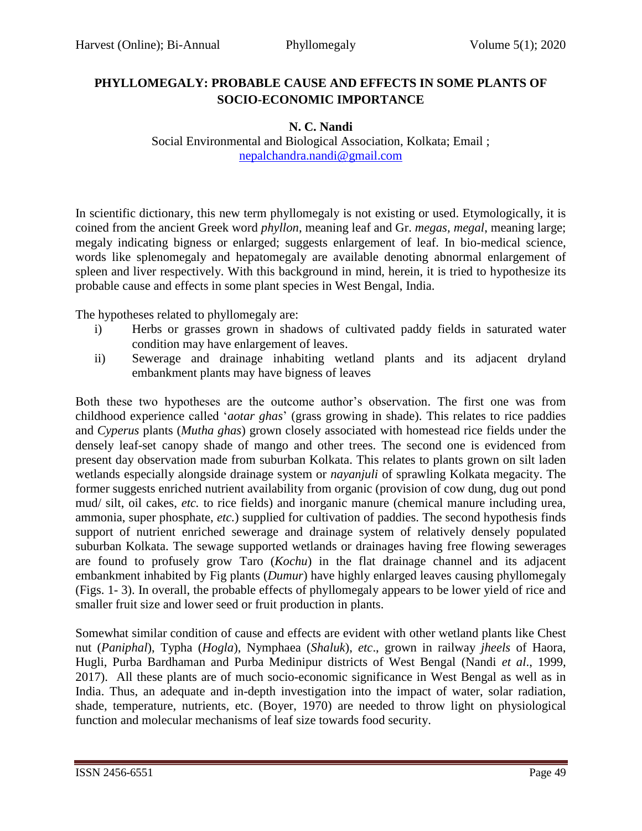## **PHYLLOMEGALY: PROBABLE CAUSE AND EFFECTS IN SOME PLANTS OF SOCIO-ECONOMIC IMPORTANCE**

## **N. C. Nandi**

Social Environmental and Biological Association, Kolkata; Email ; [nepalchandra.nandi@gmail.com](mailto:nepalchandra.nandi@gmail.com)

In scientific dictionary, this new term phyllomegaly is not existing or used. Etymologically, it is coined from the ancient Greek word *phyllon*, meaning leaf and Gr. *megas, megal*, meaning large; megaly indicating bigness or enlarged; suggests enlargement of leaf. In bio-medical science, words like splenomegaly and hepatomegaly are available denoting abnormal enlargement of spleen and liver respectively. With this background in mind, herein, it is tried to hypothesize its probable cause and effects in some plant species in West Bengal, India.

The hypotheses related to phyllomegaly are:

- i) Herbs or grasses grown in shadows of cultivated paddy fields in saturated water condition may have enlargement of leaves.
- ii) Sewerage and drainage inhabiting wetland plants and its adjacent dryland embankment plants may have bigness of leaves

Both these two hypotheses are the outcome author's observation. The first one was from childhood experience called '*aotar ghas*' (grass growing in shade). This relates to rice paddies and *Cyperus* plants (*Mutha ghas*) grown closely associated with homestead rice fields under the densely leaf-set canopy shade of mango and other trees. The second one is evidenced from present day observation made from suburban Kolkata. This relates to plants grown on silt laden wetlands especially alongside drainage system or *nayanjuli* of sprawling Kolkata megacity. The former suggests enriched nutrient availability from organic (provision of cow dung, dug out pond mud/ silt, oil cakes, *etc.* to rice fields) and inorganic manure (chemical manure including urea, ammonia, super phosphate, *etc.*) supplied for cultivation of paddies. The second hypothesis finds support of nutrient enriched sewerage and drainage system of relatively densely populated suburban Kolkata. The sewage supported wetlands or drainages having free flowing sewerages are found to profusely grow Taro (*Kochu*) in the flat drainage channel and its adjacent embankment inhabited by Fig plants (*Dumur*) have highly enlarged leaves causing phyllomegaly (Figs. 1- 3). In overall, the probable effects of phyllomegaly appears to be lower yield of rice and smaller fruit size and lower seed or fruit production in plants.

Somewhat similar condition of cause and effects are evident with other wetland plants like Chest nut (*Paniphal*), Typha (*Hogla*), Nymphaea (*Shaluk*), *etc*., grown in railway *jheels* of Haora, Hugli, Purba Bardhaman and Purba Medinipur districts of West Bengal (Nandi *et al*., 1999, 2017). All these plants are of much socio-economic significance in West Bengal as well as in India. Thus, an adequate and in-depth investigation into the impact of water, solar radiation, shade, temperature, nutrients, etc. (Boyer, 1970) are needed to throw light on physiological function and molecular mechanisms of leaf size towards food security.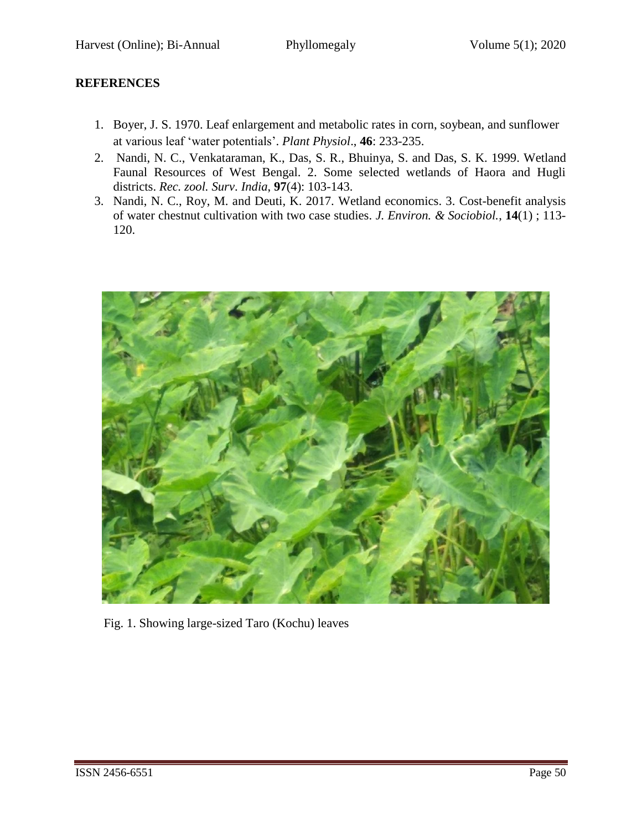## **REFERENCES**

- 1. Boyer, J. S. 1970. Leaf enlargement and metabolic rates in corn, soybean, and sunflower at various leaf 'water potentials'. *Plant Physiol*., **46**: 233-235.
- 2. Nandi, N. C., Venkataraman, K., Das, S. R., Bhuinya, S. and Das, S. K. 1999. Wetland Faunal Resources of West Bengal. 2. Some selected wetlands of Haora and Hugli districts. *Rec. zool. Surv*. *India*, **97**(4): 103-143.
- 3. Nandi, N. C., Roy, M. and Deuti, K. 2017. Wetland economics. 3. Cost-benefit analysis of water chestnut cultivation with two case studies. *J. Environ. & Sociobiol.*, **14**(1) ; 113- 120.



Fig. 1. Showing large-sized Taro (Kochu) leaves